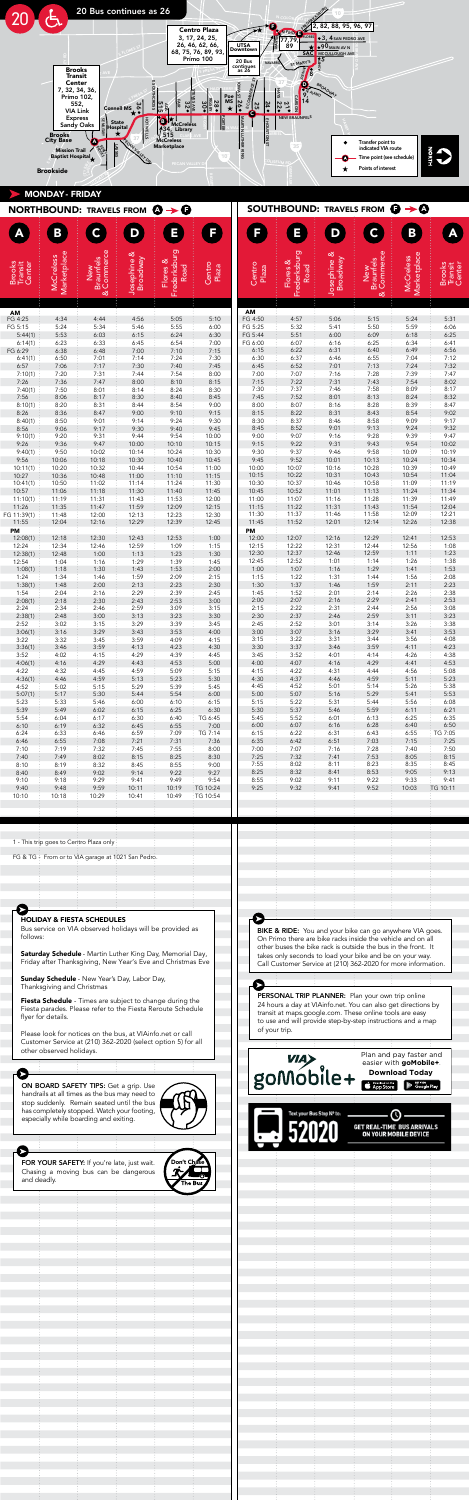

|                                                                                                                                                                                                                                                                                                                                                                                                                                                                                                                                                                                                                          |                                                                                                                                                                                                                                                                                                                                                                                                                                                                                                                   | <b>NORTHBOUND:</b> TRAVELS FROM $\mathbf{Q} \rightarrow \mathbf{Q}$                                                                                                                                                                                                                                                                                                                                                                                                                                                                                                                                                                                                                                                                                                                                                                                             |                                                                                                                                                                                                                                                                                                                                                                                                                                                                                                                     |                                                                                                                                                                                                                                                                                                                                                                                                                                                                                                                    |                                                                                                                                                                                                                                                                                                                                                                                                                                                                                                                                |                                                                                                                                                                                                                                                                                                                                                                                                                                                                                                                                  | SOUTHBOUND: TRAVELS FROM $\bigoplus \rightarrow \bigotimes$                                                                                                                                                                                                                                                                                                                                                                                                                                                                                                                                                   |                                                                                                                                                                                                                                                                                                                                                                                                                                                                                                          |                                                                                                                                                                                                                                                                                                                                                                                                                                                                                                          |                                                                                                                                                                                                                                                                                                                                                                                                                                                                                                           |                                                                                                                                                                                                                                                                                                                                                                                                                                                                                                                 |
|--------------------------------------------------------------------------------------------------------------------------------------------------------------------------------------------------------------------------------------------------------------------------------------------------------------------------------------------------------------------------------------------------------------------------------------------------------------------------------------------------------------------------------------------------------------------------------------------------------------------------|-------------------------------------------------------------------------------------------------------------------------------------------------------------------------------------------------------------------------------------------------------------------------------------------------------------------------------------------------------------------------------------------------------------------------------------------------------------------------------------------------------------------|-----------------------------------------------------------------------------------------------------------------------------------------------------------------------------------------------------------------------------------------------------------------------------------------------------------------------------------------------------------------------------------------------------------------------------------------------------------------------------------------------------------------------------------------------------------------------------------------------------------------------------------------------------------------------------------------------------------------------------------------------------------------------------------------------------------------------------------------------------------------|---------------------------------------------------------------------------------------------------------------------------------------------------------------------------------------------------------------------------------------------------------------------------------------------------------------------------------------------------------------------------------------------------------------------------------------------------------------------------------------------------------------------|--------------------------------------------------------------------------------------------------------------------------------------------------------------------------------------------------------------------------------------------------------------------------------------------------------------------------------------------------------------------------------------------------------------------------------------------------------------------------------------------------------------------|--------------------------------------------------------------------------------------------------------------------------------------------------------------------------------------------------------------------------------------------------------------------------------------------------------------------------------------------------------------------------------------------------------------------------------------------------------------------------------------------------------------------------------|----------------------------------------------------------------------------------------------------------------------------------------------------------------------------------------------------------------------------------------------------------------------------------------------------------------------------------------------------------------------------------------------------------------------------------------------------------------------------------------------------------------------------------|---------------------------------------------------------------------------------------------------------------------------------------------------------------------------------------------------------------------------------------------------------------------------------------------------------------------------------------------------------------------------------------------------------------------------------------------------------------------------------------------------------------------------------------------------------------------------------------------------------------|----------------------------------------------------------------------------------------------------------------------------------------------------------------------------------------------------------------------------------------------------------------------------------------------------------------------------------------------------------------------------------------------------------------------------------------------------------------------------------------------------------|----------------------------------------------------------------------------------------------------------------------------------------------------------------------------------------------------------------------------------------------------------------------------------------------------------------------------------------------------------------------------------------------------------------------------------------------------------------------------------------------------------|-----------------------------------------------------------------------------------------------------------------------------------------------------------------------------------------------------------------------------------------------------------------------------------------------------------------------------------------------------------------------------------------------------------------------------------------------------------------------------------------------------------|-----------------------------------------------------------------------------------------------------------------------------------------------------------------------------------------------------------------------------------------------------------------------------------------------------------------------------------------------------------------------------------------------------------------------------------------------------------------------------------------------------------------|
|                                                                                                                                                                                                                                                                                                                                                                                                                                                                                                                                                                                                                          | B                                                                                                                                                                                                                                                                                                                                                                                                                                                                                                                 | $\tilde{\bullet}$                                                                                                                                                                                                                                                                                                                                                                                                                                                                                                                                                                                                                                                                                                                                                                                                                                               | D                                                                                                                                                                                                                                                                                                                                                                                                                                                                                                                   | E                                                                                                                                                                                                                                                                                                                                                                                                                                                                                                                  | F                                                                                                                                                                                                                                                                                                                                                                                                                                                                                                                              | F                                                                                                                                                                                                                                                                                                                                                                                                                                                                                                                                | Ξ                                                                                                                                                                                                                                                                                                                                                                                                                                                                                                                                                                                                             | D                                                                                                                                                                                                                                                                                                                                                                                                                                                                                                        | C                                                                                                                                                                                                                                                                                                                                                                                                                                                                                                        | B                                                                                                                                                                                                                                                                                                                                                                                                                                                                                                         | A                                                                                                                                                                                                                                                                                                                                                                                                                                                                                                               |
| Brooks<br>Transit<br>Center                                                                                                                                                                                                                                                                                                                                                                                                                                                                                                                                                                                              | Marketplace<br><b>McCreless</b>                                                                                                                                                                                                                                                                                                                                                                                                                                                                                   | Commerce<br><b>Braunfels</b><br>New<br>య                                                                                                                                                                                                                                                                                                                                                                                                                                                                                                                                                                                                                                                                                                                                                                                                                        | ళ<br>Josephine 8<br>Broadway                                                                                                                                                                                                                                                                                                                                                                                                                                                                                        | Frederksburg<br>Flores &<br>Road                                                                                                                                                                                                                                                                                                                                                                                                                                                                                   | Centro<br>Plaza                                                                                                                                                                                                                                                                                                                                                                                                                                                                                                                | Centro<br>Plaza                                                                                                                                                                                                                                                                                                                                                                                                                                                                                                                  | Frederksburg<br>Flores &<br>Road                                                                                                                                                                                                                                                                                                                                                                                                                                                                                                                                                                              | ళ<br>Broadway<br>Josephine                                                                                                                                                                                                                                                                                                                                                                                                                                                                               | Commerce<br>New<br>Braunfels<br>త                                                                                                                                                                                                                                                                                                                                                                                                                                                                        | Marketplace<br><b>McCreless</b>                                                                                                                                                                                                                                                                                                                                                                                                                                                                           | Brooks<br>Transit<br>Center                                                                                                                                                                                                                                                                                                                                                                                                                                                                                     |
| <b>AM</b><br>FG 4:25<br>FG 5:15<br>5:44(1)<br>6:14(1)<br>FG 6:29<br>6:41(1)<br>6:57<br>7:10(1)<br>7:26<br>7:40(1)<br>7:56<br>8:10(1)<br>8:26<br>8:40(1)<br>8:56<br>9:10(1)<br>9:26<br>9:40(1)<br>9:56<br>10:11(1)<br>10:27<br>10:41(1)<br>10:57<br>11:10(1)<br>11:26<br>FG 11:39(1)<br>11:55<br>PM<br>12:08(1)<br>12:24<br>12:38(1)<br>12:54<br>1:08(1)<br>1:24<br>1:38(1)<br>1:54<br>2:08(1)<br>2:24<br>2:38(1)<br>2:52<br>3:06(1)<br>3:22<br>3:36(1)<br>3:52<br>4:06(1)<br>4:22<br>4:36(1)<br>4:52<br>5:07(1)<br>5:23<br>5:39<br>5:54<br>6:10<br>6:24<br>6:46<br>7:10<br>7:40<br>8:10<br>8:40<br>9:10<br>9:40<br>10:10 | 4:34<br>5:24<br>5:53<br>6:23<br>6:38<br>6:50<br>7:06<br>7:20<br>7:36<br>7:50<br>8:06<br>8:20<br>8:36<br>8:50<br>9:06<br>9:20<br>9:36<br>9:50<br>10:06<br>10:20<br>10:36<br>10:50<br>11:06<br>11:19<br>11:35<br>11:48<br>12:04<br>12:18<br>12:34<br>12:48<br>1:04<br>1:18<br>1:34<br>1:48<br>2:04<br>2:18<br>2:34<br>2:48<br>3:02<br>3:16<br>3:32<br>3:46<br>4:02<br>4:16<br>4:32<br>4:46<br>5:02<br>5:17<br>5:33<br>5:49<br>6:04<br>6:19<br>6:33<br>6:55<br>7:19<br>7:49<br>8:19<br>8:49<br>9:18<br>9:48<br>10:18 | 4:44<br>5:34<br>6:03<br>6:33<br>6:48<br>7:01<br>7:17<br>7:31<br>7:47<br>8:01<br>8:17<br>8:31<br>8:47<br>9:01<br>9:17<br>9:31<br>9:47<br>10:02<br>10:18<br>10:32<br>10:48<br>11:02<br>11:18<br>11:31<br>11:47<br>12:00<br>12:16<br>12:30<br>12:46<br>1:00<br>1:16<br>1:30<br>1:46<br>2:00<br>2:16<br>2:30<br>2:46<br>3:00<br>3:15<br>3:29<br>3:45<br>3:59<br>4:15<br>4:29<br>4:45<br>4:59<br>5:15<br>5:30<br>5:46<br>6:02<br>6:17<br>6:32<br>6:46<br>7:08<br>7:32<br>8:02<br>8:32<br>9:02<br>9:29<br>9:59<br>10:29<br>1 - This trip goes to Centro Plaza only<br>FG & TG - From or to VIA garage at 1021 San Pedro.                                                                                                                                                                                                                                              | 4:56<br>5:46<br>6:15<br>6:45<br>7:00<br>7:14<br>7:30<br>7:44<br>8:00<br>8:14<br>8:30<br>8:44<br>9:00<br>9:14<br>9:30<br>9:44<br>10:00<br>10:14<br>10:30<br>10:44<br>11:00<br>11:14<br>11:30<br>11:43<br>11:59<br>12:13<br>12:29<br>12:43<br>12:59<br>1:13<br>1:29<br>1:43<br>1:59<br>2:13<br>2:29<br>2:43<br>2:59<br>3:13<br>3:29<br>3:43<br>3:59<br>4:13<br>4:29<br>4:43<br>4:59<br>5:13<br>5:29<br>5:44<br>6:00<br>6:15<br>6:30<br>6:45<br>6:59<br>7:21<br>7:45<br>8:15<br>8:45<br>9:14<br>9:41<br>10:11<br>10:41 | 5:05<br>5:55<br>6:24<br>6:54<br>7:10<br>7:24<br>7:40<br>7:54<br>8:10<br>8:24<br>8:40<br>8:54<br>9:10<br>9:24<br>9:40<br>9:54<br>10:10<br>10:24<br>10:40<br>10:54<br>11:10<br>11:24<br>11:40<br>11:53<br>12:09<br>12:23<br>12:39<br>12:53<br>1:09<br>1:23<br>1:39<br>1:53<br>2:09<br>2:23<br>2:39<br>2:53<br>3:09<br>3:23<br>3:39<br>3:53<br>4:09<br>4:23<br>4:39<br>4:53<br>5:09<br>5:23<br>5:39<br>5:54<br>6:10<br>6:25<br>6:40<br>6:55<br>7:09<br>7:31<br>7:55<br>8:25<br>8:55<br>9:22<br>9:49<br>10:19<br>10:49 | 5:10<br>6:00<br>6:30<br>7:00<br>7:15<br>7:30<br>7:45<br>8:00<br>8:15<br>8:30<br>8:45<br>9:00<br>9:15<br>9:30<br>9:45<br>10:00<br>10:15<br>10:30<br>10:45<br>11:00<br>11:15<br>11:30<br>11:45<br>12:00<br>12:15<br>12:30<br>12:45<br>1:00<br>1:15<br>1:30<br>1:45<br>2:00<br>2:15<br>2:30<br>2:45<br>3:00<br>3:15<br>3:30<br>3:45<br>4:00<br>4:15<br>4:30<br>4:45<br>5:00<br>5:15<br>5:30<br>5:45<br>6:00<br>6:15<br>6:30<br>TG 6:45<br>7:00<br>TG 7:14<br>7:36<br>8:00<br>8:30<br>9:00<br>9:27<br>9:54<br>TG 10:24<br>TG 10:54 | AM<br>FG 4:50<br>FG 5:25<br>FG 5:44<br>FG 6:00<br>6:15<br>6:30<br>6:45<br>7:00<br>7:15<br>7:30<br>7:45<br>8:00<br>8:15<br>8:30<br>8:45<br>9:00<br>9:15<br>9:30<br>9:45<br>10:00<br>10:15<br>10:30<br>10:45<br>11:00<br>11:15<br>11:30<br>11:45<br>PM<br>12:00<br>12:15<br>12:30<br>12:45<br>1:00<br>1:15<br>1:30<br>1:45<br>2:00<br>2:15<br>2:30<br>2:45<br>3:00<br>3:15<br>3:30<br>3:45<br>4:00<br>4:15<br>4:30<br>4:45<br>5:00<br>5:15<br>5:30<br>5:45<br>6:00<br>6:15<br>6:35<br>7:00<br>7:25<br>7:55<br>8:25<br>8:55<br>9:25 | 4:57<br>5:32<br>5:51<br>6:07<br>6:22<br>6:37<br>6:52<br>7:07<br>7:22<br>7:37<br>7:52<br>8:07<br>8:22<br>8:37<br>8:52<br>9:07<br>9:22<br>9:37<br>9:52<br>10:07<br>10:22<br>10:37<br>10:52<br>11:07<br>11:22<br>11:37<br>11:52<br>12:07<br>12:22<br>12:37<br>12:52<br>1:07<br>1:22<br>1:37<br>1:52<br>2:07<br>2:22<br>2:37<br>2:52<br>3:07<br>3:22<br>3:37<br>3:52<br>4:07<br>4:22<br>4:37<br>4:52<br>5:07<br>5:22<br>5:37<br>5:52<br>6:07<br>6:22<br>6:42<br>7:07<br>7:32<br>8:02<br>8:32<br>9:02<br>9:32                                                                                                      | 5:06<br>5:41<br>6:00<br>6:16<br>6:31<br>6:46<br>7:01<br>7:16<br>7:31<br>7:46<br>8:01<br>8:16<br>8:31<br>8:46<br>9:01<br>9:16<br>9:31<br>9:46<br>10:01<br>10:16<br>10:31<br>10:46<br>11:01<br>11:16<br>11:31<br>11:46<br>12:01<br>12:16<br>12:31<br>12:46<br>1:01<br>1:16<br>1:31<br>1:46<br>2:01<br>2:16<br>2:31<br>2:46<br>3:01<br>3:16<br>3:31<br>3:46<br>4:01<br>4:16<br>4:31<br>4:46<br>5:01<br>5:16<br>5:31<br>5:46<br>6:01<br>6:16<br>6:31<br>6:51<br>7:16<br>7:41<br>8:11<br>8:41<br>9:11<br>9:41 | 5:15<br>5:50<br>6:09<br>6:25<br>6:40<br>6:55<br>7:13<br>7:28<br>7:43<br>7:58<br>8:13<br>8:28<br>8:43<br>8:58<br>9:13<br>9:28<br>9:43<br>9:58<br>10:13<br>10:28<br>10:43<br>10:58<br>11:13<br>11:28<br>11:43<br>11:58<br>12:14<br>12:29<br>12:44<br>12:59<br>1:14<br>1:29<br>1:44<br>1:59<br>2:14<br>2:29<br>2:44<br>2:59<br>3:14<br>3:29<br>3:44<br>3:59<br>4:14<br>4:29<br>4:44<br>4:59<br>5:14<br>5:29<br>5:44<br>5:59<br>6:13<br>6:28<br>6:43<br>7:03<br>7:28<br>7:53<br>8:23<br>8:53<br>9:22<br>9:52 | 5:24<br>5:59<br>6:18<br>6:34<br>6:49<br>7:04<br>7:24<br>7:39<br>7:54<br>8:09<br>8:24<br>8:39<br>8:54<br>9:09<br>9:24<br>9:39<br>9:54<br>10:09<br>10:24<br>10:39<br>10:54<br>11:09<br>11:24<br>11:39<br>11:54<br>12:09<br>12:26<br>12:41<br>12:56<br>1:11<br>1:26<br>1:41<br>1:56<br>2:11<br>2:26<br>2:41<br>2:56<br>3:11<br>3:26<br>3:41<br>3:56<br>4:11<br>4:26<br>4:41<br>4:56<br>5:11<br>5:26<br>5:41<br>5:56<br>6:11<br>6:25<br>6:40<br>6:55<br>7:15<br>7:40<br>8:05<br>8:35<br>9:05<br>9:33<br>10:03 | 5:31<br>6:06<br>6:25<br>6:41<br>6:56<br>7:12<br>7:32<br>7:47<br>8:02<br>8:17<br>8:32<br>8:47<br>9:02<br>9:17<br>9:32<br>9:47<br>10:02<br>10:19<br>10:34<br>10:49<br>11:04<br>11:19<br>11:34<br>11:49<br>12:04<br>12:21<br>12:38<br>12:53<br>1:08<br>1:23<br>1:38<br>1:53<br>2:08<br>2:23<br>2:38<br>2:53<br>3:08<br>3:23<br>3:38<br>3:53<br>4:08<br>4:23<br>4:38<br>4:53<br>5:08<br>5:23<br>5:38<br>5:53<br>6:08<br>6:21<br>6:35<br>6:50<br>TG 7:05<br>7:25<br>7:50<br>8:15<br>8:45<br>9:13<br>9:41<br>TG 10:11 |
| follows:<br>and deadly.                                                                                                                                                                                                                                                                                                                                                                                                                                                                                                                                                                                                  | Thanksgiving and Christmas<br>flyer for details.<br>other observed holidays.                                                                                                                                                                                                                                                                                                                                                                                                                                      | <b>HOLIDAY &amp; FIESTA SCHEDULES</b><br>Bus service on VIA observed holidays will be provided as<br>Saturday Schedule - Martin Luther King Day, Memorial Day,<br>Friday after Thanksgiving, New Year's Eve and Christmas Eve<br>Sunday Schedule - New Year's Day, Labor Day,<br>Fiesta Schedule - Times are subject to change during the<br>Fiesta parades. Please refer to the Fiesta Reroute Schedule<br>Please look for notices on the bus, at VIAinfo.net or call<br>Customer Service at (210) 362-2020 (select option 5) for all<br>ON BOARD SAFETY TIPS: Get a grip. Use<br>handrails at all times as the bus may need to<br>stop suddenly. Remain seated until the bus<br>has completely stopped. Watch your footing,<br>especially while boarding and exiting.<br>FOR YOUR SAFETY: If you're late, just wait.<br>Chasing a moving bus can be dangerous |                                                                                                                                                                                                                                                                                                                                                                                                                                                                                                                     | Don't Chase                                                                                                                                                                                                                                                                                                                                                                                                                                                                                                        |                                                                                                                                                                                                                                                                                                                                                                                                                                                                                                                                | of your trip.                                                                                                                                                                                                                                                                                                                                                                                                                                                                                                                    | BIKE & RIDE: You and your bike can go anywhere VIA goes.<br>On Primo there are bike racks inside the vehicle and on all<br>other buses the bike rack is outside the bus in the front. It<br>takes only seconds to load your bike and be on your way.<br>Call Customer Service at (210) 362-2020 for more information.<br>PERSONAL TRIP PLANNER: Plan your own trip online<br>24 hours a day at VIAinfo.net. You can also get directions by<br>transit at maps.google.com. These online tools are easy<br>to use and will provide step-by-step instructions and a map<br>goMobile+<br>Text your Bus Stop N° to |                                                                                                                                                                                                                                                                                                                                                                                                                                                                                                          | Download on the<br>App Store<br><b>GET REAL-TIME BUS ARRIVALS</b>                                                                                                                                                                                                                                                                                                                                                                                                                                        | Plan and pay faster and<br>easier with goMobile+.<br><b>Download Today</b><br>Google Play<br>ON YOUR MOBILE DEVICE                                                                                                                                                                                                                                                                                                                                                                                        |                                                                                                                                                                                                                                                                                                                                                                                                                                                                                                                 |
|                                                                                                                                                                                                                                                                                                                                                                                                                                                                                                                                                                                                                          |                                                                                                                                                                                                                                                                                                                                                                                                                                                                                                                   |                                                                                                                                                                                                                                                                                                                                                                                                                                                                                                                                                                                                                                                                                                                                                                                                                                                                 |                                                                                                                                                                                                                                                                                                                                                                                                                                                                                                                     |                                                                                                                                                                                                                                                                                                                                                                                                                                                                                                                    |                                                                                                                                                                                                                                                                                                                                                                                                                                                                                                                                |                                                                                                                                                                                                                                                                                                                                                                                                                                                                                                                                  |                                                                                                                                                                                                                                                                                                                                                                                                                                                                                                                                                                                                               |                                                                                                                                                                                                                                                                                                                                                                                                                                                                                                          |                                                                                                                                                                                                                                                                                                                                                                                                                                                                                                          |                                                                                                                                                                                                                                                                                                                                                                                                                                                                                                           |                                                                                                                                                                                                                                                                                                                                                                                                                                                                                                                 |

Please look for notices on the bus, at VIAinfo.net or call Customer Service at (210) 362-2020 (select option 5) for all

other observed holidays.

Plan and pay faster and easier with **goMobile+**. **Download Today**

Bus service on VIA observed holidays will be provided as

follows:

Saturday Schedule - Martin Luther King Day, Memorial Day, Friday after Thanksgiving, New Year's Eve and Christmas Eve

Fiesta Schedule - Times are subject to change during the Fiesta parades. Please refer to the Fiesta Reroute Schedule

- New Year's Day, Labor Day,

Thanksgiving and Christmas

Fiesta Schedule - Times are subject to change during the Fiesta parades. Please refer to the Fiesta Reroute Schedule

flyer for details.

Customer Service at (210) 362-2020 (select option 5) for all

- New Year's Day, Labor Day,

Thanksgiving and Christmas

Sunday Schedule

Fiesta Schedule - Times are subject to change during the Fiesta parades. Please refer to the Fiesta Reroute Schedule

flyer for details.

Please look for notices on the bus, at VIAinfo.net or call Customer Service at (210) 362-2020 (select option 5) for all

other observed holidays.

- New Year's Day, Labor Day,

Thanksgiving and Christmas

Plan and pay faster and easier with **goMobile+**.